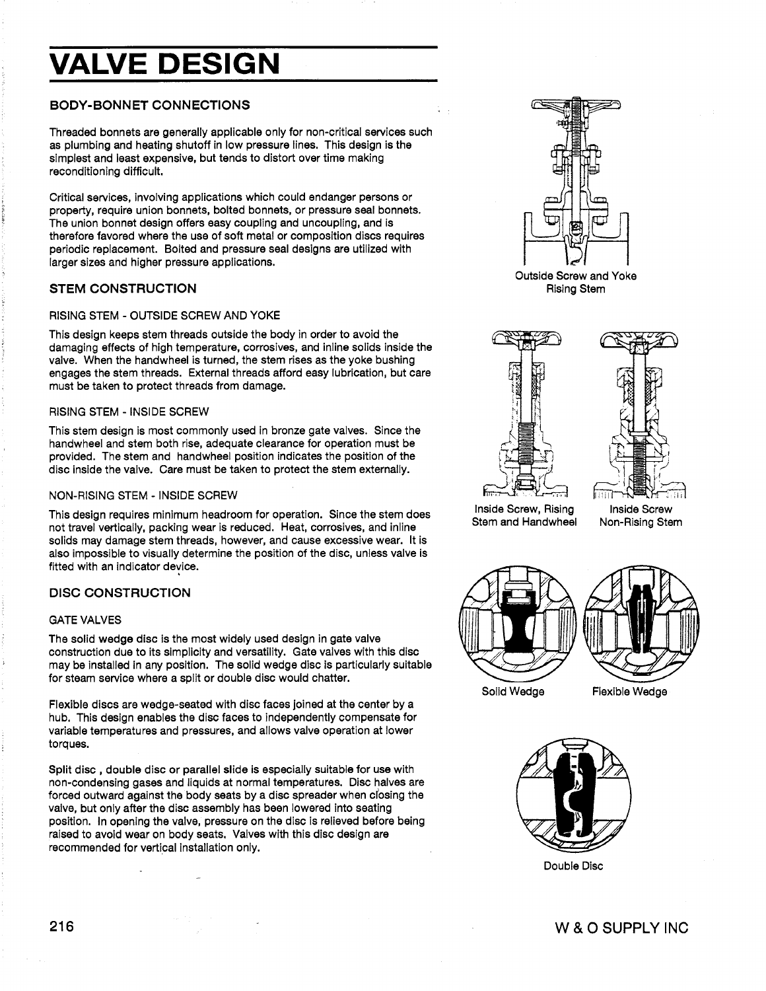# **VALVE DESIGN**

## BODY-BONNET CONNECTIONS

Threaded bonnets are generally applicable only for non-critical services such as plumbing and heating shutoff in low pressure lines. This design is the simplest and least expensive, but tends to distort over time making reconditioning difficult.

Critical services, involving applications which could endanger persons or property, require union bonnets, bolted bonnets, or pressure seal bonnets. The union bonnet design offers easy coupling and uncoupling, and is therefore favored where the use of soft metal or composition discs requires periodic replacement. Bolted and pressure seal designs are utilized with larger sizes and higher pressure applications.

## STEM CONSTRUCTION

#### RISING STEM -OUTSIDE SCREW AND YOKE

This design keeps stem threads outside the body in order to avoid the damaging effects of high temperature, corrosives, and inline solids inside the valve. When the handwheel is turned, the stem rises as the yoke bushing engages the stem threads. External threads afford easy lubrication, but care must be taken to protect threads from damage.

#### RISING STEM - INSIDE SCREW

This stem design is most commonly used in bronze gate valves. Since the handwheel and stem both rise, adequate clearance for operation must be provided. The stem and handwheel position indicates the position of the disc inside the valve. Care must be taken to protect the stem externally.

#### NON-RISING STEM - INSIDE SCREW

This design requires minimum headroom for operation. Since the stem does not travel vertically, packing wear is reduced. Heat, corrosives, and inline solids may damage stem threads, however, and cause excessive wear. It is also impossible to visually determine the position of the disc, unless valve is fitted with an indicator device.

## DISC CONSTRUCTION

#### GATE VALVES

The solid wedge disc is the most widely used design in gate valve construction due to its simplicity and versatility. Gate valves with this disc may be installed in any position. The solid wedge disc is particularly suitable for steam service where a split or double disc would chatter.

Flexible discs are wedge-seated with disc faces joined at the center by a hub. This design enables the disc faces to independently compensate for variable temperatures and pressures, and allows valve operation at lower torques.

Split disc , double disc or parallel slide is especially suitable for use with non-condensing gases and liquids at normal temperatures. Disc halves are forced outward against the body seats by a disc spreader when closing the valve, but only after the disc assembly has been lowered into seating position. In opening the valve, pressure on the disc is relieved before being raised to avoid wear on body seats. Valves with this disc design are recommended for vertical installation only.



Outside Screw and Yoke Rising Stem



Inside Screw, Rising Stem and Handwheel

Inside Screw Non-Rising Stem



Solid Wedge

Flexible Wedge



Double Disc